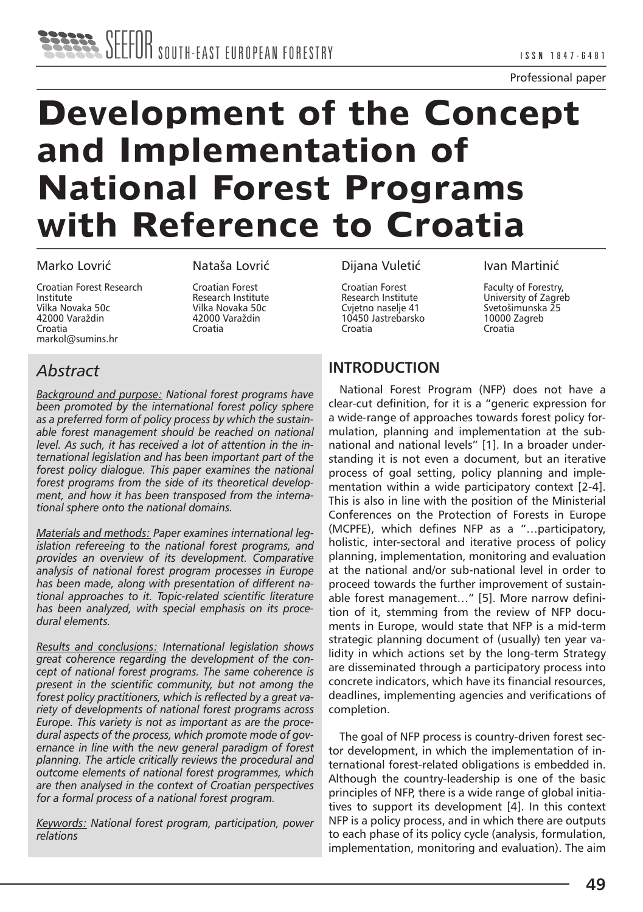# **Development of the Concept and Implementation of National Forest Programs with Reference to Croatia**

#### Marko Lovrić

Croatian Forest Research Institute Vilka Novaka 50c 42000 Varaždin Croatia markol@sumins.hr

Nataša Lovrić

Croatian Forest Research Institute Vilka Novaka 50c 42000 Varaždin Croatia

# *Abstract*

*Background and purpose: National forest programs have been promoted by the international forest policy sphere as a preferred form of policy process by which the sustainable forest management should be reached on national level. As such, it has received a lot of attention in the international legislation and has been important part of the forest policy dialogue. This paper examines the national forest programs from the side of its theoretical development, and how it has been transposed from the international sphere onto the national domains.* 

*Materials and methods: Paper examines international legislation refereeing to the national forest programs, and provides an overview of its development. Comparative analysis of national forest program processes in Europe has been made, along with presentation of different national approaches to it. Topic-related scientific literature has been analyzed, with special emphasis on its procedural elements.* 

*Results and conclusions: International legislation shows great coherence regarding the development of the concept of national forest programs. The same coherence is present in the scientific community, but not among the forest policy practitioners, which is reflected by a great variety of developments of national forest programs across Europe. This variety is not as important as are the procedural aspects of the process, which promote mode of governance in line with the new general paradigm of forest planning. The article critically reviews the procedural and outcome elements of national forest programmes, which are then analysed in the context of Croatian perspectives for a formal process of a national forest program.*

*Keywords: National forest program, participation, power relations*

#### Dijana Vuletić

Croatian Forest Research Institute Cvjetno naselje 41 10450 Jastrebarsko Croatia

#### Ivan Martinić

Faculty of Forestry, University of Zagreb Svetošimunska 25 10000 Zagreb Croatia

## **INTRODUCTION**

National Forest Program (NFP) does not have a clear-cut definition, for it is a "generic expression for a wide-range of approaches towards forest policy formulation, planning and implementation at the subnational and national levels" [1]. In a broader understanding it is not even a document, but an iterative process of goal setting, policy planning and implementation within a wide participatory context [2-4]. This is also in line with the position of the Ministerial Conferences on the Protection of Forests in Europe (MCPFE), which defines NFP as a "…participatory, holistic, inter-sectoral and iterative process of policy planning, implementation, monitoring and evaluation at the national and/or sub-national level in order to proceed towards the further improvement of sustainable forest management…" [5]. More narrow definition of it, stemming from the review of NFP documents in Europe, would state that NFP is a mid-term strategic planning document of (usually) ten year validity in which actions set by the long-term Strategy are disseminated through a participatory process into concrete indicators, which have its financial resources, deadlines, implementing agencies and verifications of completion.

The goal of NFP process is country-driven forest sector development, in which the implementation of international forest-related obligations is embedded in. Although the country-leadership is one of the basic principles of NFP, there is a wide range of global initiatives to support its development [4]. In this context NFP is a policy process, and in which there are outputs to each phase of its policy cycle (analysis, formulation, implementation, monitoring and evaluation). The aim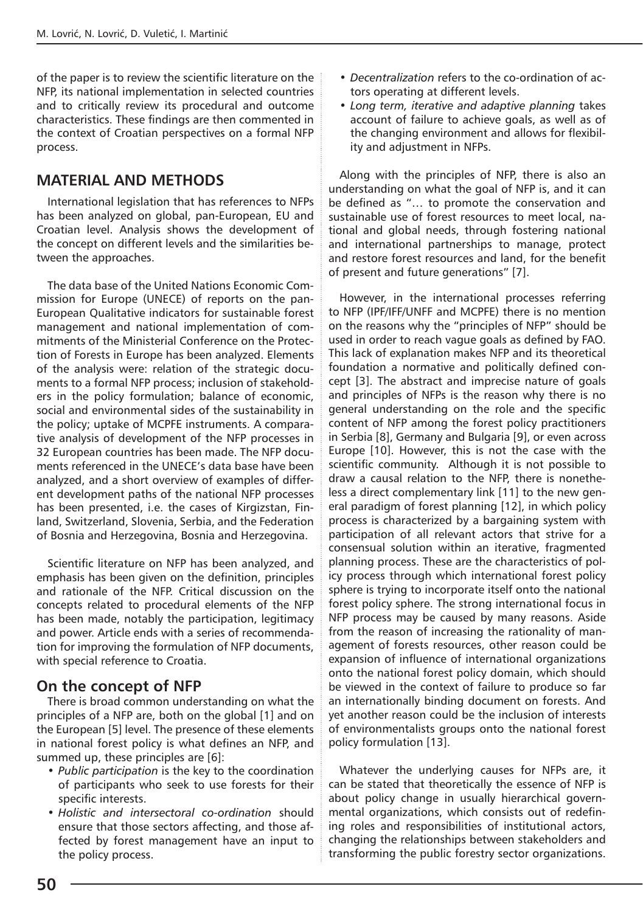of the paper is to review the scientific literature on the NFP, its national implementation in selected countries and to critically review its procedural and outcome characteristics. These findings are then commented in the context of Croatian perspectives on a formal NFP process.

## **MATERIAL AND METHODS**

International legislation that has references to NFPs has been analyzed on global, pan-European, EU and Croatian level. Analysis shows the development of the concept on different levels and the similarities between the approaches.

The data base of the United Nations Economic Commission for Europe (UNECE) of reports on the pan-European Qualitative indicators for sustainable forest management and national implementation of commitments of the Ministerial Conference on the Protection of Forests in Europe has been analyzed. Elements of the analysis were: relation of the strategic documents to a formal NFP process; inclusion of stakeholders in the policy formulation; balance of economic, social and environmental sides of the sustainability in the policy; uptake of MCPFE instruments. A comparative analysis of development of the NFP processes in 32 European countries has been made. The NFP documents referenced in the UNECE's data base have been analyzed, and a short overview of examples of different development paths of the national NFP processes has been presented, i.e. the cases of Kirgizstan, Finland, Switzerland, Slovenia, Serbia, and the Federation of Bosnia and Herzegovina, Bosnia and Herzegovina.

Scientific literature on NFP has been analyzed, and emphasis has been given on the definition, principles and rationale of the NFP. Critical discussion on the concepts related to procedural elements of the NFP has been made, notably the participation, legitimacy and power. Article ends with a series of recommendation for improving the formulation of NFP documents, with special reference to Croatia.

### **On the concept of NFP**

There is broad common understanding on what the principles of a NFP are, both on the global [1] and on the European [5] level. The presence of these elements in national forest policy is what defines an NFP, and summed up, these principles are [6]:

- *Public participation* is the key to the coordination of participants who seek to use forests for their specific interests.
- *Holistic and intersectoral co-ordination* should ensure that those sectors affecting, and those affected by forest management have an input to the policy process.
- *Decentralization* refers to the co-ordination of actors operating at different levels.
- *Long term, iterative and adaptive planning* takes account of failure to achieve goals, as well as of the changing environment and allows for flexibility and adjustment in NFPs.

Along with the principles of NFP, there is also an understanding on what the goal of NFP is, and it can be defined as "… to promote the conservation and sustainable use of forest resources to meet local, national and global needs, through fostering national and international partnerships to manage, protect and restore forest resources and land, for the benefit of present and future generations" [7].

However, in the international processes referring to NFP (IPF/IFF/UNFF and MCPFE) there is no mention on the reasons why the "principles of NFP" should be used in order to reach vague goals as defined by FAO. This lack of explanation makes NFP and its theoretical foundation a normative and politically defined concept [3]. The abstract and imprecise nature of goals and principles of NFPs is the reason why there is no general understanding on the role and the specific content of NFP among the forest policy practitioners in Serbia [8], Germany and Bulgaria [9], or even across Europe [10]. However, this is not the case with the scientific community. Although it is not possible to draw a causal relation to the NFP, there is nonetheless a direct complementary link [11] to the new general paradigm of forest planning [12], in which policy process is characterized by a bargaining system with participation of all relevant actors that strive for a consensual solution within an iterative, fragmented planning process. These are the characteristics of policy process through which international forest policy sphere is trying to incorporate itself onto the national forest policy sphere. The strong international focus in NFP process may be caused by many reasons. Aside from the reason of increasing the rationality of management of forests resources, other reason could be expansion of influence of international organizations onto the national forest policy domain, which should be viewed in the context of failure to produce so far an internationally binding document on forests. And yet another reason could be the inclusion of interests of environmentalists groups onto the national forest policy formulation [13].

Whatever the underlying causes for NFPs are, it can be stated that theoretically the essence of NFP is about policy change in usually hierarchical governmental organizations, which consists out of redefining roles and responsibilities of institutional actors, changing the relationships between stakeholders and transforming the public forestry sector organizations.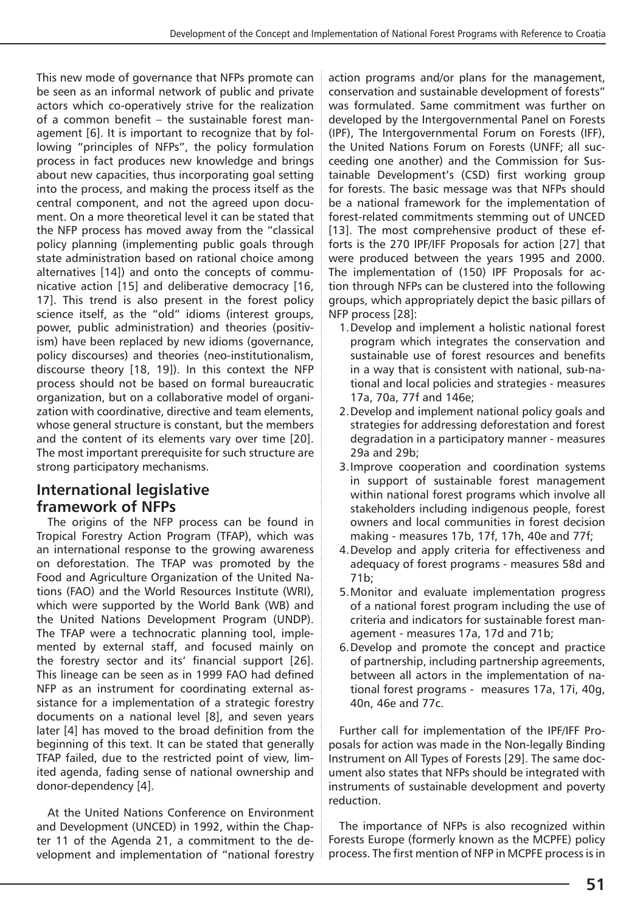This new mode of governance that NFPs promote can be seen as an informal network of public and private actors which co-operatively strive for the realization of a common benefit – the sustainable forest management [6]. It is important to recognize that by following "principles of NFPs", the policy formulation process in fact produces new knowledge and brings about new capacities, thus incorporating goal setting into the process, and making the process itself as the central component, and not the agreed upon document. On a more theoretical level it can be stated that the NFP process has moved away from the "classical policy planning (implementing public goals through state administration based on rational choice among alternatives [14]) and onto the concepts of communicative action [15] and deliberative democracy [16, 17]. This trend is also present in the forest policy science itself, as the "old" idioms (interest groups, power, public administration) and theories (positivism) have been replaced by new idioms (governance, policy discourses) and theories (neo-institutionalism, discourse theory [18, 19]). In this context the NFP process should not be based on formal bureaucratic organization, but on a collaborative model of organization with coordinative, directive and team elements, whose general structure is constant, but the members and the content of its elements vary over time [20]. The most important prerequisite for such structure are strong participatory mechanisms.

# **International legislative framework of NFPs**

The origins of the NFP process can be found in Tropical Forestry Action Program (TFAP), which was an international response to the growing awareness on deforestation. The TFAP was promoted by the Food and Agriculture Organization of the United Nations (FAO) and the World Resources Institute (WRI), which were supported by the World Bank (WB) and the United Nations Development Program (UNDP). The TFAP were a technocratic planning tool, implemented by external staff, and focused mainly on the forestry sector and its' financial support [26]. This lineage can be seen as in 1999 FAO had defined NFP as an instrument for coordinating external assistance for a implementation of a strategic forestry documents on a national level [8], and seven years later [4] has moved to the broad definition from the beginning of this text. It can be stated that generally TFAP failed, due to the restricted point of view, limited agenda, fading sense of national ownership and donor-dependency [4].

At the United Nations Conference on Environment and Development (UNCED) in 1992, within the Chapter 11 of the Agenda 21, a commitment to the development and implementation of "national forestry action programs and/or plans for the management, conservation and sustainable development of forests" was formulated. Same commitment was further on developed by the Intergovernmental Panel on Forests (IPF), The Intergovernmental Forum on Forests (IFF), the United Nations Forum on Forests (UNFF; all succeeding one another) and the Commission for Sustainable Development's (CSD) first working group for forests. The basic message was that NFPs should be a national framework for the implementation of forest-related commitments stemming out of UNCED [13]. The most comprehensive product of these efforts is the 270 IPF/IFF Proposals for action [27] that were produced between the years 1995 and 2000. The implementation of (150) IPF Proposals for action through NFPs can be clustered into the following groups, which appropriately depict the basic pillars of NFP process [28]:

- 1.Develop and implement a holistic national forest program which integrates the conservation and sustainable use of forest resources and benefits in a way that is consistent with national, sub-national and local policies and strategies - measures 17a, 70a, 77f and 146e;
- 2.Develop and implement national policy goals and strategies for addressing deforestation and forest degradation in a participatory manner - measures 29a and 29b;
- 3.Improve cooperation and coordination systems in support of sustainable forest management within national forest programs which involve all stakeholders including indigenous people, forest owners and local communities in forest decision making - measures 17b, 17f, 17h, 40e and 77f;
- 4.Develop and apply criteria for effectiveness and adequacy of forest programs - measures 58d and 71b;
- 5.Monitor and evaluate implementation progress of a national forest program including the use of criteria and indicators for sustainable forest management - measures 17a, 17d and 71b;
- 6.Develop and promote the concept and practice of partnership, including partnership agreements, between all actors in the implementation of national forest programs - measures 17a, 17i, 40g, 40n, 46e and 77c.

Further call for implementation of the IPF/IFF Proposals for action was made in the Non-legally Binding Instrument on All Types of Forests [29]. The same document also states that NFPs should be integrated with instruments of sustainable development and poverty reduction.

The importance of NFPs is also recognized within Forests Europe (formerly known as the MCPFE) policy process. The first mention of NFP in MCPFE process is in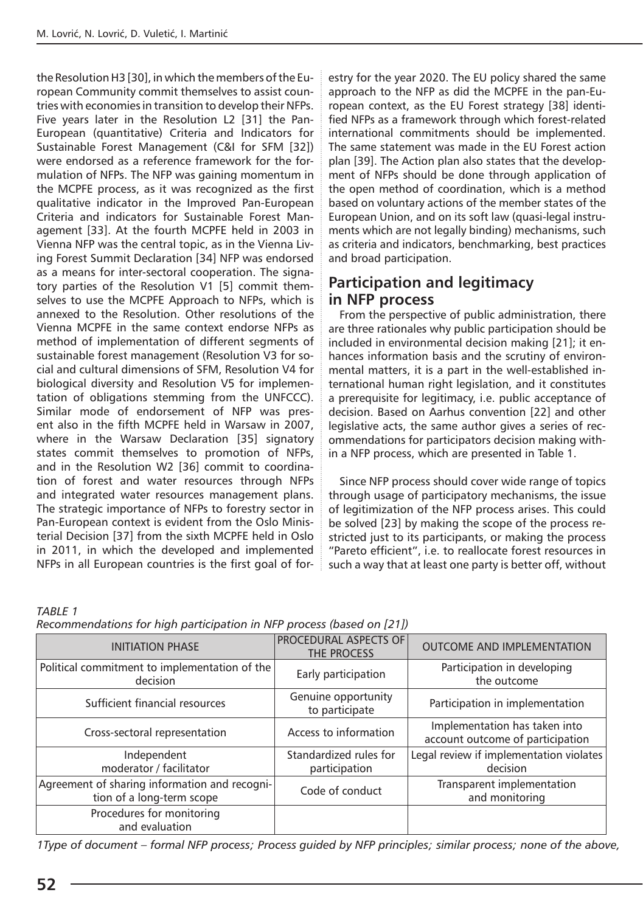the Resolution H3 [30], in which the members of the European Community commit themselves to assist countries with economies in transition to develop their NFPs. Five years later in the Resolution L2 [31] the Pan-European (quantitative) Criteria and Indicators for Sustainable Forest Management (C&I for SFM [32]) were endorsed as a reference framework for the formulation of NFPs. The NFP was gaining momentum in the MCPFE process, as it was recognized as the first qualitative indicator in the Improved Pan-European Criteria and indicators for Sustainable Forest Management [33]. At the fourth MCPFE held in 2003 in Vienna NFP was the central topic, as in the Vienna Living Forest Summit Declaration [34] NFP was endorsed as a means for inter-sectoral cooperation. The signatory parties of the Resolution V1 [5] commit themselves to use the MCPFE Approach to NFPs, which is annexed to the Resolution. Other resolutions of the Vienna MCPFE in the same context endorse NFPs as method of implementation of different segments of sustainable forest management (Resolution V3 for social and cultural dimensions of SFM, Resolution V4 for biological diversity and Resolution V5 for implementation of obligations stemming from the UNFCCC). Similar mode of endorsement of NFP was present also in the fifth MCPFE held in Warsaw in 2007, where in the Warsaw Declaration [35] signatory states commit themselves to promotion of NFPs, and in the Resolution W2 [36] commit to coordination of forest and water resources through NFPs and integrated water resources management plans. The strategic importance of NFPs to forestry sector in Pan-European context is evident from the Oslo Ministerial Decision [37] from the sixth MCPFE held in Oslo in 2011, in which the developed and implemented NFPs in all European countries is the first goal of forestry for the year 2020. The EU policy shared the same approach to the NFP as did the MCPFE in the pan-European context, as the EU Forest strategy [38] identified NFPs as a framework through which forest-related international commitments should be implemented. The same statement was made in the EU Forest action plan [39]. The Action plan also states that the development of NFPs should be done through application of the open method of coordination, which is a method based on voluntary actions of the member states of the European Union, and on its soft law (quasi-legal instruments which are not legally binding) mechanisms, such as criteria and indicators, benchmarking, best practices and broad participation.

## **Participation and legitimacy in NFP process**

From the perspective of public administration, there are three rationales why public participation should be included in environmental decision making [21]; it enhances information basis and the scrutiny of environmental matters, it is a part in the well-established international human right legislation, and it constitutes a prerequisite for legitimacy, i.e. public acceptance of decision. Based on Aarhus convention [22] and other legislative acts, the same author gives a series of recommendations for participators decision making within a NFP process, which are presented in Table 1.

Since NFP process should cover wide range of topics through usage of participatory mechanisms, the issue of legitimization of the NFP process arises. This could be solved [23] by making the scope of the process restricted just to its participants, or making the process "Pareto efficient", i.e. to reallocate forest resources in such a way that at least one party is better off, without

*TABLE 1* 

| Recommendations for high participation in NFP process (based on [21]) |  |  |
|-----------------------------------------------------------------------|--|--|
|-----------------------------------------------------------------------|--|--|

| <b>INITIATION PHASE</b>                                                    | <b>PROCEDURAL ASPECTS OF</b><br>THE PROCESS | <b>OUTCOME AND IMPLEMENTATION</b>                                 |  |  |
|----------------------------------------------------------------------------|---------------------------------------------|-------------------------------------------------------------------|--|--|
| Political commitment to implementation of the<br>decision                  | Early participation                         | Participation in developing<br>the outcome                        |  |  |
| Sufficient financial resources                                             | Genuine opportunity<br>to participate       | Participation in implementation                                   |  |  |
| Cross-sectoral representation                                              | Access to information                       | Implementation has taken into<br>account outcome of participation |  |  |
| Independent<br>moderator / facilitator                                     | Standardized rules for<br>participation     | Legal review if implementation violates<br>decision               |  |  |
| Agreement of sharing information and recogni-<br>tion of a long-term scope | Code of conduct                             | Transparent implementation<br>and monitoring                      |  |  |
| Procedures for monitoring<br>and evaluation                                |                                             |                                                                   |  |  |

*1Type of document – formal NFP process; Process guided by NFP principles; similar process; none of the above,*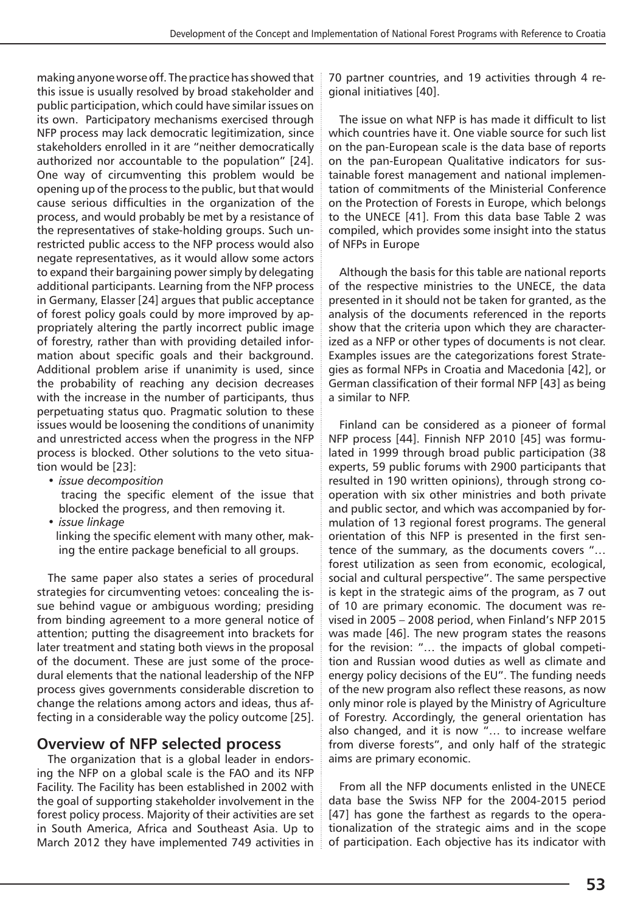making anyone worse off. The practice has showed that this issue is usually resolved by broad stakeholder and public participation, which could have similar issues on its own. Participatory mechanisms exercised through NFP process may lack democratic legitimization, since stakeholders enrolled in it are "neither democratically authorized nor accountable to the population" [24]. One way of circumventing this problem would be opening up of the process to the public, but that would cause serious difficulties in the organization of the process, and would probably be met by a resistance of the representatives of stake-holding groups. Such unrestricted public access to the NFP process would also negate representatives, as it would allow some actors to expand their bargaining power simply by delegating additional participants. Learning from the NFP process in Germany, Elasser [24] argues that public acceptance of forest policy goals could by more improved by appropriately altering the partly incorrect public image of forestry, rather than with providing detailed information about specific goals and their background. Additional problem arise if unanimity is used, since the probability of reaching any decision decreases with the increase in the number of participants, thus perpetuating status quo. Pragmatic solution to these issues would be loosening the conditions of unanimity and unrestricted access when the progress in the NFP process is blocked. Other solutions to the veto situation would be [23]:

• *issue decomposition*

 tracing the specific element of the issue that blocked the progress, and then removing it.

• *issue linkage*

 linking the specific element with many other, making the entire package beneficial to all groups.

The same paper also states a series of procedural strategies for circumventing vetoes: concealing the issue behind vague or ambiguous wording; presiding from binding agreement to a more general notice of attention; putting the disagreement into brackets for later treatment and stating both views in the proposal of the document. These are just some of the procedural elements that the national leadership of the NFP process gives governments considerable discretion to change the relations among actors and ideas, thus affecting in a considerable way the policy outcome [25].

### **Overview of NFP selected process**

The organization that is a global leader in endorsing the NFP on a global scale is the FAO and its NFP Facility. The Facility has been established in 2002 with the goal of supporting stakeholder involvement in the forest policy process. Majority of their activities are set in South America, Africa and Southeast Asia. Up to March 2012 they have implemented 749 activities in

70 partner countries, and 19 activities through 4 regional initiatives [40].

The issue on what NFP is has made it difficult to list which countries have it. One viable source for such list on the pan-European scale is the data base of reports on the pan-European Qualitative indicators for sustainable forest management and national implementation of commitments of the Ministerial Conference on the Protection of Forests in Europe, which belongs to the UNECE [41]. From this data base Table 2 was compiled, which provides some insight into the status of NFPs in Europe

Although the basis for this table are national reports of the respective ministries to the UNECE, the data presented in it should not be taken for granted, as the analysis of the documents referenced in the reports show that the criteria upon which they are characterized as a NFP or other types of documents is not clear. Examples issues are the categorizations forest Strategies as formal NFPs in Croatia and Macedonia [42], or German classification of their formal NFP [43] as being a similar to NFP.

Finland can be considered as a pioneer of formal NFP process [44]. Finnish NFP 2010 [45] was formulated in 1999 through broad public participation (38 experts, 59 public forums with 2900 participants that resulted in 190 written opinions), through strong cooperation with six other ministries and both private and public sector, and which was accompanied by formulation of 13 regional forest programs. The general orientation of this NFP is presented in the first sentence of the summary, as the documents covers "… forest utilization as seen from economic, ecological, social and cultural perspective". The same perspective is kept in the strategic aims of the program, as 7 out of 10 are primary economic. The document was revised in 2005 – 2008 period, when Finland's NFP 2015 was made [46]. The new program states the reasons for the revision: "… the impacts of global competition and Russian wood duties as well as climate and energy policy decisions of the EU". The funding needs of the new program also reflect these reasons, as now only minor role is played by the Ministry of Agriculture of Forestry. Accordingly, the general orientation has also changed, and it is now "… to increase welfare from diverse forests", and only half of the strategic aims are primary economic.

From all the NFP documents enlisted in the UNECE data base the Swiss NFP for the 2004-2015 period [47] has gone the farthest as regards to the operationalization of the strategic aims and in the scope of participation. Each objective has its indicator with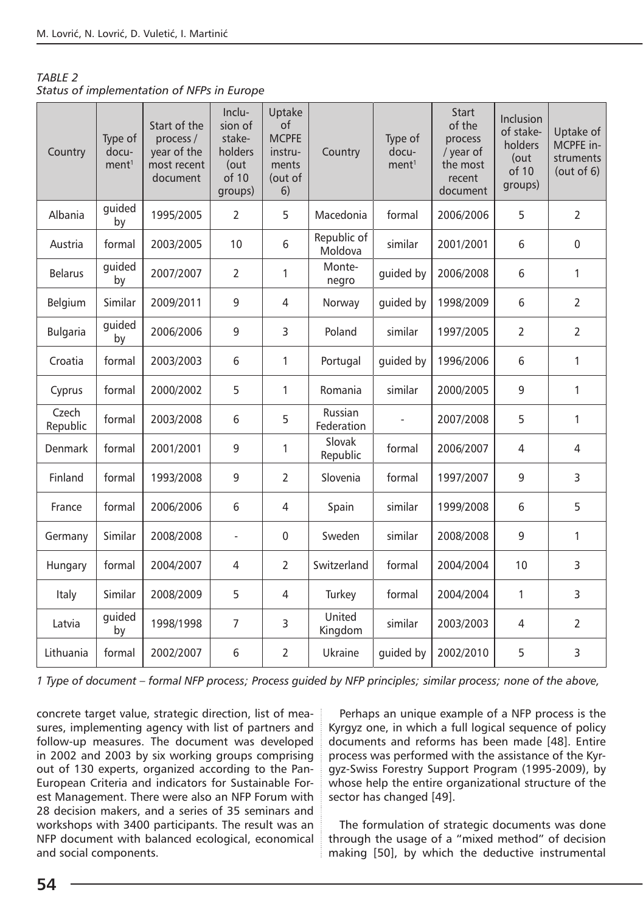| <b>TABLE 2</b>                             |  |
|--------------------------------------------|--|
| Status of implementation of NFPs in Europe |  |

| Country           | Type of<br>docu-<br>ment <sup>1</sup> | Start of the<br>process /<br>year of the<br>most recent<br>document | Inclu-<br>sion of<br>stake-<br>holders<br>(out<br>of 10<br>groups) | Uptake<br>of<br><b>MCPFE</b><br>instru-<br>ments<br>(out of<br>6) | Country                | Type of<br>docu-<br>ment <sup>1</sup> | <b>Start</b><br>of the<br>process<br>/ year of<br>the most<br>recent<br>document | <b>Inclusion</b><br>of stake-<br>holders<br>(out<br>of 10<br>groups) | Uptake of<br>MCPFE in-<br>struments<br>(out of $6$ ) |
|-------------------|---------------------------------------|---------------------------------------------------------------------|--------------------------------------------------------------------|-------------------------------------------------------------------|------------------------|---------------------------------------|----------------------------------------------------------------------------------|----------------------------------------------------------------------|------------------------------------------------------|
| Albania           | guided<br>by                          | 1995/2005                                                           | $\overline{2}$                                                     | 5                                                                 | Macedonia              | formal                                | 2006/2006                                                                        | 5                                                                    | $\overline{2}$                                       |
| Austria           | formal                                | 2003/2005                                                           | 10                                                                 | 6                                                                 | Republic of<br>Moldova | similar                               | 2001/2001                                                                        | 6                                                                    | $\mathbf 0$                                          |
| <b>Belarus</b>    | guided<br>by                          | 2007/2007                                                           | $\overline{2}$                                                     | 1                                                                 | Monte-<br>negro        | guided by                             | 2006/2008                                                                        | 6                                                                    | $\mathbf{1}$                                         |
| Belgium           | Similar                               | 2009/2011                                                           | 9                                                                  | $\overline{4}$                                                    | Norway                 | guided by                             | 1998/2009                                                                        | 6                                                                    | $\overline{2}$                                       |
| <b>Bulgaria</b>   | quided<br>by                          | 2006/2006                                                           | 9                                                                  | 3                                                                 | Poland                 | similar                               | 1997/2005                                                                        | $\overline{2}$                                                       | $\overline{2}$                                       |
| Croatia           | formal                                | 2003/2003                                                           | 6                                                                  | 1                                                                 | Portugal               | quided by                             | 1996/2006                                                                        | 6                                                                    | 1                                                    |
| Cyprus            | formal                                | 2000/2002                                                           | 5                                                                  | 1                                                                 | Romania                | similar                               | 2000/2005                                                                        | 9                                                                    | $\mathbf{1}$                                         |
| Czech<br>Republic | formal                                | 2003/2008                                                           | 6                                                                  | 5                                                                 | Russian<br>Federation  |                                       | 2007/2008                                                                        | 5                                                                    | $\mathbf{1}$                                         |
| Denmark           | formal                                | 2001/2001                                                           | 9                                                                  | 1                                                                 | Slovak<br>Republic     | formal                                | 2006/2007                                                                        | 4                                                                    | $\overline{4}$                                       |
| Finland           | formal                                | 1993/2008                                                           | 9                                                                  | 2                                                                 | Slovenia               | formal                                | 1997/2007                                                                        | 9                                                                    | 3                                                    |
| France            | formal                                | 2006/2006                                                           | 6                                                                  | 4                                                                 | Spain                  | similar                               | 1999/2008                                                                        | 6                                                                    | 5                                                    |
| Germany           | Similar                               | 2008/2008                                                           | $\bar{\phantom{a}}$                                                | 0                                                                 | Sweden                 | similar                               | 2008/2008                                                                        | 9                                                                    | 1                                                    |
| Hungary           | formal                                | 2004/2007                                                           | $\overline{4}$                                                     | $\overline{2}$                                                    | Switzerland            | formal                                | 2004/2004                                                                        | 10                                                                   | 3                                                    |
| Italy             | Similar                               | 2008/2009                                                           | 5                                                                  | 4                                                                 | Turkey                 | formal                                | 2004/2004                                                                        | 1                                                                    | 3                                                    |
| Latvia            | guided<br>by                          | 1998/1998                                                           | 7                                                                  | 3                                                                 | United<br>Kingdom      | similar                               | 2003/2003                                                                        | $\overline{4}$                                                       | $\overline{2}$                                       |
| Lithuania         | formal                                | 2002/2007                                                           | 6                                                                  | $\overline{2}$                                                    | Ukraine                | guided by                             | 2002/2010                                                                        | 5                                                                    | 3                                                    |

*1 Type of document – formal NFP process; Process guided by NFP principles; similar process; none of the above,* 

concrete target value, strategic direction, list of measures, implementing agency with list of partners and follow-up measures. The document was developed in 2002 and 2003 by six working groups comprising out of 130 experts, organized according to the Pan-European Criteria and indicators for Sustainable Forest Management. There were also an NFP Forum with 28 decision makers, and a series of 35 seminars and workshops with 3400 participants. The result was an NFP document with balanced ecological, economical and social components.

Perhaps an unique example of a NFP process is the Kyrgyz one, in which a full logical sequence of policy documents and reforms has been made [48]. Entire process was performed with the assistance of the Kyrgyz-Swiss Forestry Support Program (1995-2009), by whose help the entire organizational structure of the sector has changed [49].

The formulation of strategic documents was done through the usage of a "mixed method" of decision making [50], by which the deductive instrumental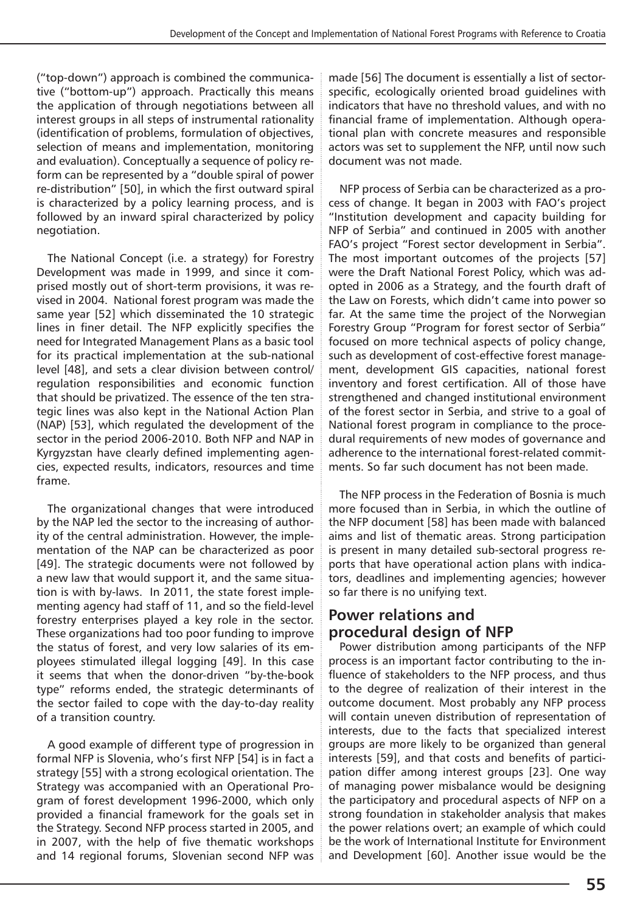("top-down") approach is combined the communicative ("bottom-up") approach. Practically this means the application of through negotiations between all interest groups in all steps of instrumental rationality (identification of problems, formulation of objectives, selection of means and implementation, monitoring and evaluation). Conceptually a sequence of policy reform can be represented by a "double spiral of power re-distribution" [50], in which the first outward spiral is characterized by a policy learning process, and is followed by an inward spiral characterized by policy negotiation.

The National Concept (i.e. a strategy) for Forestry Development was made in 1999, and since it comprised mostly out of short-term provisions, it was revised in 2004. National forest program was made the same year [52] which disseminated the 10 strategic lines in finer detail. The NFP explicitly specifies the need for Integrated Management Plans as a basic tool for its practical implementation at the sub-national level [48], and sets a clear division between control/ regulation responsibilities and economic function that should be privatized. The essence of the ten strategic lines was also kept in the National Action Plan (NAP) [53], which regulated the development of the sector in the period 2006-2010. Both NFP and NAP in Kyrgyzstan have clearly defined implementing agencies, expected results, indicators, resources and time frame.

The organizational changes that were introduced by the NAP led the sector to the increasing of authority of the central administration. However, the implementation of the NAP can be characterized as poor [49]. The strategic documents were not followed by a new law that would support it, and the same situation is with by-laws. In 2011, the state forest implementing agency had staff of 11, and so the field-level forestry enterprises played a key role in the sector. These organizations had too poor funding to improve the status of forest, and very low salaries of its employees stimulated illegal logging [49]. In this case it seems that when the donor-driven "by-the-book type" reforms ended, the strategic determinants of the sector failed to cope with the day-to-day reality of a transition country.

A good example of different type of progression in formal NFP is Slovenia, who's first NFP [54] is in fact a strategy [55] with a strong ecological orientation. The Strategy was accompanied with an Operational Program of forest development 1996-2000, which only provided a financial framework for the goals set in the Strategy. Second NFP process started in 2005, and in 2007, with the help of five thematic workshops and 14 regional forums, Slovenian second NFP was made [56] The document is essentially a list of sectorspecific, ecologically oriented broad guidelines with indicators that have no threshold values, and with no financial frame of implementation. Although operational plan with concrete measures and responsible actors was set to supplement the NFP, until now such document was not made.

NFP process of Serbia can be characterized as a process of change. It began in 2003 with FAO's project "Institution development and capacity building for NFP of Serbia" and continued in 2005 with another FAO's project "Forest sector development in Serbia". The most important outcomes of the projects [57] were the Draft National Forest Policy, which was adopted in 2006 as a Strategy, and the fourth draft of the Law on Forests, which didn't came into power so far. At the same time the project of the Norwegian Forestry Group "Program for forest sector of Serbia" focused on more technical aspects of policy change, such as development of cost-effective forest management, development GIS capacities, national forest inventory and forest certification. All of those have strengthened and changed institutional environment of the forest sector in Serbia, and strive to a goal of National forest program in compliance to the procedural requirements of new modes of governance and adherence to the international forest-related commitments. So far such document has not been made.

The NFP process in the Federation of Bosnia is much more focused than in Serbia, in which the outline of the NFP document [58] has been made with balanced aims and list of thematic areas. Strong participation is present in many detailed sub-sectoral progress reports that have operational action plans with indicators, deadlines and implementing agencies; however so far there is no unifying text.

## **Power relations and procedural design of NFP**

Power distribution among participants of the NFP process is an important factor contributing to the influence of stakeholders to the NFP process, and thus to the degree of realization of their interest in the outcome document. Most probably any NFP process will contain uneven distribution of representation of interests, due to the facts that specialized interest groups are more likely to be organized than general interests [59], and that costs and benefits of participation differ among interest groups [23]. One way of managing power misbalance would be designing the participatory and procedural aspects of NFP on a strong foundation in stakeholder analysis that makes the power relations overt; an example of which could be the work of International Institute for Environment and Development [60]. Another issue would be the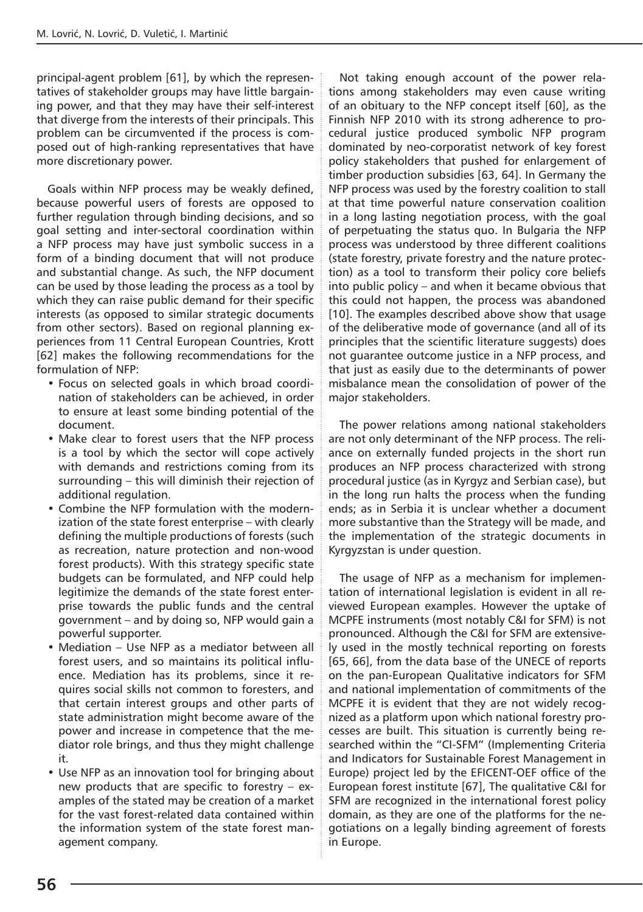principal-agent problem [61], by which the representatives of stakeholder groups may have little bargaining power, and that they may have their self-interest that diverge from the interests of their principals. This problem can be circumvented if the process is composed out of high-ranking representatives that have more discretionary power.

Goals within NFP process may be weakly defined, because powerful users of forests are opposed to further regulation through binding decisions, and so goal setting and inter-sectoral coordination within a NFP process may have just symbolic success in a form of a binding document that will not produce and substantial change. As such, the NFP document can be used by those leading the process as a tool by which they can raise public demand for their specific interests (as opposed to similar strategic documents from other sectors). Based on regional planning experiences from 11 Central European Countries, Krott [62] makes the following recommendations for the formulation of NFP:

- Focus on selected goals in which broad coordination of stakeholders can be achieved, in order to ensure at least some binding potential of the document.
- Make clear to forest users that the NFP process is a tool by which the sector will cope actively with demands and restrictions coming from its surrounding – this will diminish their rejection of additional regulation.
- Combine the NFP formulation with the modernization of the state forest enterprise – with clearly defining the multiple productions of forests (such as recreation, nature protection and non-wood forest products). With this strategy specific state budgets can be formulated, and NFP could help legitimize the demands of the state forest enterprise towards the public funds and the central government – and by doing so, NFP would gain a powerful supporter.
- Mediation Use NFP as a mediator between all forest users, and so maintains its political influence. Mediation has its problems, since it requires social skills not common to foresters, and that certain interest groups and other parts of state administration might become aware of the power and increase in competence that the mediator role brings, and thus they might challenge it.
- Use NFP as an innovation tool for bringing about new products that are specific to forestry – examples of the stated may be creation of a market for the vast forest-related data contained within the information system of the state forest management company.

Not taking enough account of the power relations among stakeholders may even cause writing of an obituary to the NFP concept itself [60], as the Finnish NFP 2010 with its strong adherence to procedural justice produced symbolic NFP program dominated by neo-corporatist network of key forest policy stakeholders that pushed for enlargement of timber production subsidies [63, 64]. In Germany the NFP process was used by the forestry coalition to stall at that time powerful nature conservation coalition in a long lasting negotiation process, with the goal of perpetuating the status quo. In Bulgaria the NFP process was understood by three different coalitions (state forestry, private forestry and the nature protection) as a tool to transform their policy core beliefs into public policy – and when it became obvious that this could not happen, the process was abandoned [10]. The examples described above show that usage of the deliberative mode of governance (and all of its principles that the scientific literature suggests) does not guarantee outcome justice in a NFP process, and that just as easily due to the determinants of power misbalance mean the consolidation of power of the major stakeholders.

The power relations among national stakeholders are not only determinant of the NFP process. The reliance on externally funded projects in the short run produces an NFP process characterized with strong procedural justice (as in Kyrgyz and Serbian case), but in the long run halts the process when the funding ends; as in Serbia it is unclear whether a document more substantive than the Strategy will be made, and the implementation of the strategic documents in Kyrgyzstan is under question.

The usage of NFP as a mechanism for implementation of international legislation is evident in all reviewed European examples. However the uptake of MCPFE instruments (most notably C&I for SFM) is not pronounced. Although the C&I for SFM are extensively used in the mostly technical reporting on forests [65, 66], from the data base of the UNECE of reports on the pan-European Qualitative indicators for SFM and national implementation of commitments of the MCPFE it is evident that they are not widely recognized as a platform upon which national forestry processes are built. This situation is currently being researched within the "CI-SFM" (Implementing Criteria and Indicators for Sustainable Forest Management in Europe) project led by the EFICENT-OEF office of the European forest institute [67], The qualitative C&I for SFM are recognized in the international forest policy domain, as they are one of the platforms for the negotiations on a legally binding agreement of forests in Europe.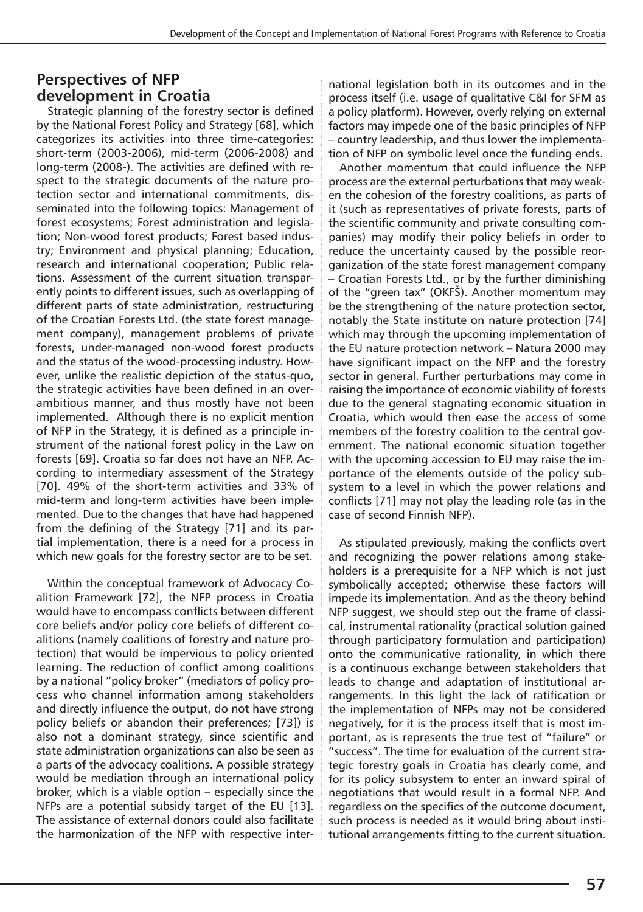## **Perspectives of NFP development in Croatia**

Strategic planning of the forestry sector is defined by the National Forest Policy and Strategy [68], which categorizes its activities into three time-categories: short-term (2003-2006), mid-term (2006-2008) and long-term (2008-). The activities are defined with respect to the strategic documents of the nature protection sector and international commitments, disseminated into the following topics: Management of forest ecosystems; Forest administration and legislation; Non-wood forest products; Forest based industry; Environment and physical planning; Education, research and international cooperation; Public relations. Assessment of the current situation transparently points to different issues, such as overlapping of different parts of state administration, restructuring of the Croatian Forests Ltd. (the state forest management company), management problems of private forests, under-managed non-wood forest products and the status of the wood-processing industry. However, unlike the realistic depiction of the status-quo, the strategic activities have been defined in an overambitious manner, and thus mostly have not been implemented. Although there is no explicit mention of NFP in the Strategy, it is defined as a principle instrument of the national forest policy in the Law on forests [69]. Croatia so far does not have an NFP. According to intermediary assessment of the Strategy [70]. 49% of the short-term activities and 33% of mid-term and long-term activities have been implemented. Due to the changes that have had happened from the defining of the Strategy [71] and its partial implementation, there is a need for a process in which new goals for the forestry sector are to be set.

Within the conceptual framework of Advocacy Coalition Framework [72], the NFP process in Croatia would have to encompass conflicts between different core beliefs and/or policy core beliefs of different coalitions (namely coalitions of forestry and nature protection) that would be impervious to policy oriented learning. The reduction of conflict among coalitions by a national "policy broker" (mediators of policy process who channel information among stakeholders and directly influence the output, do not have strong policy beliefs or abandon their preferences; [73]) is also not a dominant strategy, since scientific and state administration organizations can also be seen as a parts of the advocacy coalitions. A possible strategy would be mediation through an international policy broker, which is a viable option – especially since the NFPs are a potential subsidy target of the EU [13]. The assistance of external donors could also facilitate the harmonization of the NFP with respective international legislation both in its outcomes and in the process itself (i.e. usage of qualitative C&I for SFM as a policy platform). However, overly relying on external factors may impede one of the basic principles of NFP – country leadership, and thus lower the implementation of NFP on symbolic level once the funding ends.

Another momentum that could influence the NFP process are the external perturbations that may weaken the cohesion of the forestry coalitions, as parts of it (such as representatives of private forests, parts of the scientific community and private consulting companies) may modify their policy beliefs in order to reduce the uncertainty caused by the possible reorganization of the state forest management company – Croatian Forests Ltd., or by the further diminishing of the "green tax" (OKFŠ). Another momentum may be the strengthening of the nature protection sector, notably the State institute on nature protection [74] which may through the upcoming implementation of the EU nature protection network – Natura 2000 may have significant impact on the NFP and the forestry sector in general. Further perturbations may come in raising the importance of economic viability of forests due to the general stagnating economic situation in Croatia, which would then ease the access of some members of the forestry coalition to the central government. The national economic situation together with the upcoming accession to EU may raise the importance of the elements outside of the policy subsystem to a level in which the power relations and conflicts [71] may not play the leading role (as in the case of second Finnish NFP).

As stipulated previously, making the conflicts overt and recognizing the power relations among stakeholders is a prerequisite for a NFP which is not just symbolically accepted; otherwise these factors will impede its implementation. And as the theory behind NFP suggest, we should step out the frame of classical, instrumental rationality (practical solution gained through participatory formulation and participation) onto the communicative rationality, in which there is a continuous exchange between stakeholders that leads to change and adaptation of institutional arrangements. In this light the lack of ratification or the implementation of NFPs may not be considered negatively, for it is the process itself that is most important, as is represents the true test of "failure" or "success". The time for evaluation of the current strategic forestry goals in Croatia has clearly come, and for its policy subsystem to enter an inward spiral of negotiations that would result in a formal NFP. And regardless on the specifics of the outcome document, such process is needed as it would bring about institutional arrangements fitting to the current situation.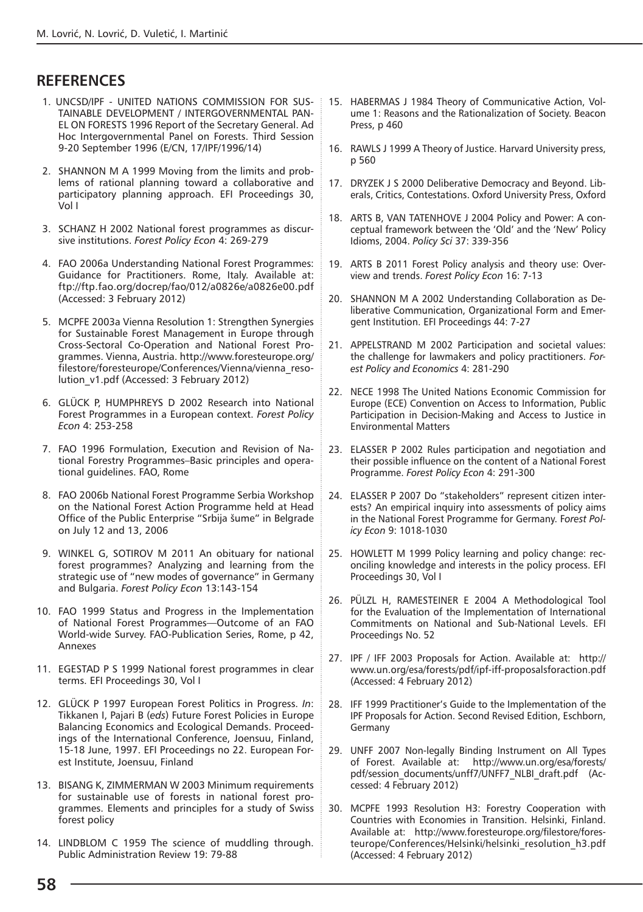## **REFERENCES**

- 1. UNCSD/IPF UNITED NATIONS COMMISSION FOR SUS-TAINABLE DEVELOPMENT / INTERGOVERNMENTAL PAN-EL ON FORESTS 1996 Report of the Secretary General. Ad Hoc Intergovernmental Panel on Forests. Third Session 9-20 September 1996 (E/CN, 17/IPF/1996/14)
- 2. SHANNON M A 1999 Moving from the limits and problems of rational planning toward a collaborative and participatory planning approach. EFI Proceedings 30, Vol I
- 3. SCHANZ H 2002 National forest programmes as discursive institutions. *Forest Policy Econ* 4: 269-279
- 4. FAO 2006a Understanding National Forest Programmes: Guidance for Practitioners. Rome, Italy. Available at: ftp://ftp.fao.org/docrep/fao/012/a0826e/a0826e00.pdf (Accessed: 3 February 2012)
- 5. MCPFE 2003a Vienna Resolution 1: Strengthen Synergies for Sustainable Forest Management in Europe through Cross-Sectoral Co-Operation and National Forest Programmes. Vienna, Austria. http://www.foresteurope.org/ filestore/foresteurope/Conferences/Vienna/vienna\_resolution\_v1.pdf (Accessed: 3 February 2012)
- 6. GLÜCK P, HUMPHREYS D 2002 Research into National Forest Programmes in a European context. *Forest Policy Econ* 4: 253-258
- 7. FAO 1996 Formulation, Execution and Revision of National Forestry Programmes–Basic principles and operational guidelines. FAO, Rome
- 8. FAO 2006b National Forest Programme Serbia Workshop on the National Forest Action Programme held at Head Office of the Public Enterprise "Srbija šume" in Belgrade on July 12 and 13, 2006
- 9. WINKEL G, SOTIROV M 2011 An obituary for national forest programmes? Analyzing and learning from the strategic use of "new modes of governance" in Germany and Bulgaria. *Forest Policy Econ* 13:143-154
- 10. FAO 1999 Status and Progress in the Implementation of National Forest Programmes—Outcome of an FAO World-wide Survey. FAO-Publication Series, Rome, p 42, Annexes
- 11. EGESTAD P S 1999 National forest programmes in clear terms. EFI Proceedings 30, Vol I
- 12. GLÜCK P 1997 European Forest Politics in Progress. *In*: Tikkanen I, Pajari B (*eds*) Future Forest Policies in Europe Balancing Economics and Ecological Demands. Proceedings of the International Conference, Joensuu, Finland, 15-18 June, 1997. EFI Proceedings no 22. European Forest Institute, Joensuu, Finland
- 13. BISANG K, ZIMMERMAN W 2003 Minimum requirements for sustainable use of forests in national forest programmes. Elements and principles for a study of Swiss forest policy
- 14. LINDBLOM C 1959 The science of muddling through. Public Administration Review 19: 79-88
- 15. HABERMAS J 1984 Theory of Communicative Action, Volume 1: Reasons and the Rationalization of Society. Beacon Press, p 460
- 16. RAWLS J 1999 A Theory of Justice. Harvard University press, p 560
- 17. DRYZEK J S 2000 Deliberative Democracy and Beyond. Liberals, Critics, Contestations. Oxford University Press, Oxford
- 18. ARTS B, VAN TATENHOVE J 2004 Policy and Power: A conceptual framework between the 'Old' and the 'New' Policy Idioms, 2004. *Policy Sci* 37: 339-356
- 19. ARTS B 2011 Forest Policy analysis and theory use: Overview and trends. *Forest Policy Econ* 16: 7-13
- 20. SHANNON M A 2002 Understanding Collaboration as Deliberative Communication, Organizational Form and Emergent Institution. EFI Proceedings 44: 7-27
- 21. APPELSTRAND M 2002 Participation and societal values: the challenge for lawmakers and policy practitioners. *Forest Policy and Economics* 4: 281-290
- 22. NECE 1998 The United Nations Economic Commission for Europe (ECE) Convention on Access to Information, Public Participation in Decision-Making and Access to Justice in Environmental Matters
- 23. ELASSER P 2002 Rules participation and negotiation and their possible influence on the content of a National Forest Programme. *Forest Policy Econ* 4: 291-300
- 24. ELASSER P 2007 Do "stakeholders" represent citizen interests? An empirical inquiry into assessments of policy aims in the National Forest Programme for Germany. F*orest Policy Econ* 9: 1018-1030
- 25. HOWLETT M 1999 Policy learning and policy change: reconciling knowledge and interests in the policy process. EFI Proceedings 30, Vol I
- 26. PÜLZL H, RAMESTEINER E 2004 A Methodological Tool for the Evaluation of the Implementation of International Commitments on National and Sub-National Levels. EFI Proceedings No. 52
- 27. IPF / IFF 2003 Proposals for Action. Available at: http:// www.un.org/esa/forests/pdf/ipf-iff-proposalsforaction.pdf (Accessed: 4 February 2012)
- 28. IFF 1999 Practitioner's Guide to the Implementation of the IPF Proposals for Action. Second Revised Edition, Eschborn, Germany
- 29. UNFF 2007 Non-legally Binding Instrument on All Types of Forest. Available at: http://www.un.org/esa/forests/ pdf/session\_documents/unff7/UNFF7\_NLBI\_draft.pdf (Accessed: 4 February 2012)
- 30. MCPFE 1993 Resolution H3: Forestry Cooperation with Countries with Economies in Transition. Helsinki, Finland. Available at: http://www.foresteurope.org/filestore/foresteurope/Conferences/Helsinki/helsinki\_resolution\_h3.pdf (Accessed: 4 February 2012)

**58**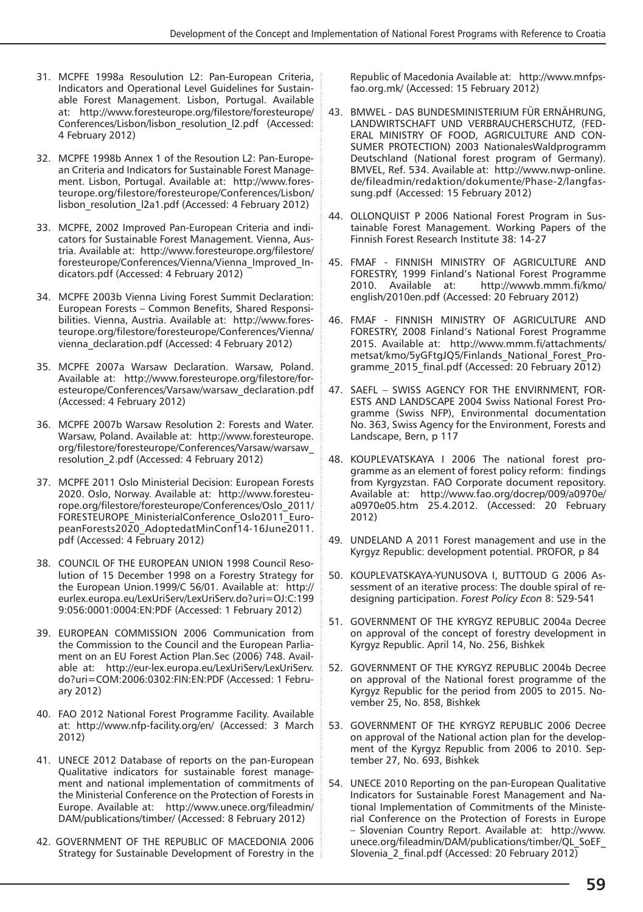- 31. MCPFE 1998a Resoulution L2: Pan-European Criteria, Indicators and Operational Level Guidelines for Sustainable Forest Management. Lisbon, Portugal. Available at: http://www.foresteurope.org/filestore/foresteurope/ Conferences/Lisbon/lisbon\_resolution\_l2.pdf (Accessed: 4 February 2012)
- 32. MCPFE 1998b Annex 1 of the Resoution L2: Pan-European Criteria and Indicators for Sustainable Forest Management. Lisbon, Portugal. Available at: http://www.foresteurope.org/filestore/foresteurope/Conferences/Lisbon/ lisbon\_resolution\_l2a1.pdf (Accessed: 4 February 2012)
- 33. MCPFE, 2002 Improved Pan-European Criteria and indicators for Sustainable Forest Management. Vienna, Austria. Available at: http://www.foresteurope.org/filestore/ foresteurope/Conferences/Vienna/Vienna\_Improved\_Indicators.pdf (Accessed: 4 February 2012)
- 34. MCPFE 2003b Vienna Living Forest Summit Declaration: European Forests – Common Benefits, Shared Responsibilities. Vienna, Austria. Available at: http://www.foresteurope.org/filestore/foresteurope/Conferences/Vienna/ vienna\_declaration.pdf (Accessed: 4 February 2012)
- 35. MCPFE 2007a Warsaw Declaration. Warsaw, Poland. Available at: http://www.foresteurope.org/filestore/foresteurope/Conferences/Varsaw/warsaw\_declaration.pdf (Accessed: 4 February 2012)
- 36. MCPFE 2007b Warsaw Resolution 2: Forests and Water. Warsaw, Poland. Available at: http://www.foresteurope. org/filestore/foresteurope/Conferences/Varsaw/warsaw\_ resolution\_2.pdf (Accessed: 4 February 2012)
- 37. MCPFE 2011 Oslo Ministerial Decision: European Forests 2020. Oslo, Norway. Available at: http://www.foresteurope.org/filestore/foresteurope/Conferences/Oslo\_2011/ FORESTEUROPE\_MinisterialConference\_Oslo2011\_EuropeanForests2020\_AdoptedatMinConf14-16June2011. pdf (Accessed: 4 February 2012)
- 38. COUNCIL OF THE EUROPEAN UNION 1998 Council Resolution of 15 December 1998 on a Forestry Strategy for the European Union.1999/C 56/01. Available at: http:// eurlex.europa.eu/LexUriServ/LexUriServ.do?uri=OJ:C:199 9:056:0001:0004:EN:PDF (Accessed: 1 February 2012)
- 39. EUROPEAN COMMISSION 2006 Communication from the Commission to the Council and the European Parliament on an EU Forest Action Plan.Sec (2006) 748. Available at: http://eur-lex.europa.eu/LexUriServ/LexUriServ. do?uri=COM:2006:0302:FIN:EN:PDF (Accessed: 1 February 2012)
- 40. FAO 2012 National Forest Programme Facility. Available at: http://www.nfp-facility.org/en/ (Accessed: 3 March 2012)
- 41. UNECE 2012 Database of reports on the pan-European Qualitative indicators for sustainable forest management and national implementation of commitments of the Ministerial Conference on the Protection of Forests in Europe. Available at: http://www.unece.org/fileadmin/ DAM/publications/timber/ (Accessed: 8 February 2012)
- 42. GOVERNMENT OF THE REPUBLIC OF MACEDONIA 2006 Strategy for Sustainable Development of Forestry in the

Republic of Macedonia Available at: http://www.mnfpsfao.org.mk/ (Accessed: 15 February 2012)

- 43. BMWEL DAS BUNDESMINISTERIUM FÜR ERNÄHRUNG, LANDWIRTSCHAFT UND VERBRAUCHERSCHUTZ, (FED-ERAL MINISTRY OF FOOD, AGRICULTURE AND CON-SUMER PROTECTION) 2003 NationalesWaldprogramm Deutschland (National forest program of Germany). BMVEL, Ref. 534. Available at: http://www.nwp-online. de/fileadmin/redaktion/dokumente/Phase-2/langfassung.pdf (Accessed: 15 February 2012)
- 44. OLLONQUIST P 2006 National Forest Program in Sustainable Forest Management. Working Papers of the Finnish Forest Research Institute 38: 14-27
- 45. FMAF FINNISH MINISTRY OF AGRICULTURE AND FORESTRY, 1999 Finland's National Forest Programme<br>2010. Available at: http://wwwb.mmm.fi/kmo/ http://wwwb.mmm.fi/kmo/ english/2010en.pdf (Accessed: 20 February 2012)
- 46. FMAF FINNISH MINISTRY OF AGRICULTURE AND FORESTRY, 2008 Finland's National Forest Programme 2015. Available at: http://www.mmm.fi/attachments/ metsat/kmo/5yGFtgJQ5/Finlands\_National\_Forest\_Programme\_2015\_final.pdf (Accessed: 20 February 2012)
- 47. SAEFL SWISS AGENCY FOR THE ENVIRNMENT, FOR-ESTS AND LANDSCAPE 2004 Swiss National Forest Programme (Swiss NFP), Environmental documentation No. 363, Swiss Agency for the Environment, Forests and Landscape, Bern, p 117
- 48. KOUPLEVATSKAYA I 2006 The national forest programme as an element of forest policy reform: findings from Kyrgyzstan. FAO Corporate document repository. Available at: http://www.fao.org/docrep/009/a0970e/ a0970e05.htm 25.4.2012. (Accessed: 20 February 2012)
- 49. UNDELAND A 2011 Forest management and use in the Kyrgyz Republic: development potential. PROFOR, p 84
- 50. KOUPLEVATSKAYA-YUNUSOVA I, BUTTOUD G 2006 Assessment of an iterative process: The double spiral of redesigning participation. *Forest Policy Econ* 8: 529-541
- 51. GOVERNMENT OF THE KYRGYZ REPUBLIC 2004a Decree on approval of the concept of forestry development in Kyrgyz Republic. April 14, No. 256, Bishkek
- 52. GOVERNMENT OF THE KYRGYZ REPUBLIC 2004b Decree on approval of the National forest programme of the Kyrgyz Republic for the period from 2005 to 2015. November 25, No. 858, Bishkek
- 53. GOVERNMENT OF THE KYRGYZ REPUBLIC 2006 Decree on approval of the National action plan for the development of the Kyrgyz Republic from 2006 to 2010. September 27, No. 693, Bishkek
- 54. UNECE 2010 Reporting on the pan-European Qualitative Indicators for Sustainable Forest Management and National Implementation of Commitments of the Ministerial Conference on the Protection of Forests in Europe – Slovenian Country Report. Available at: http://www. unece.org/fileadmin/DAM/publications/timber/QL\_SoEF\_ Slovenia\_2\_final.pdf (Accessed: 20 February 2012)